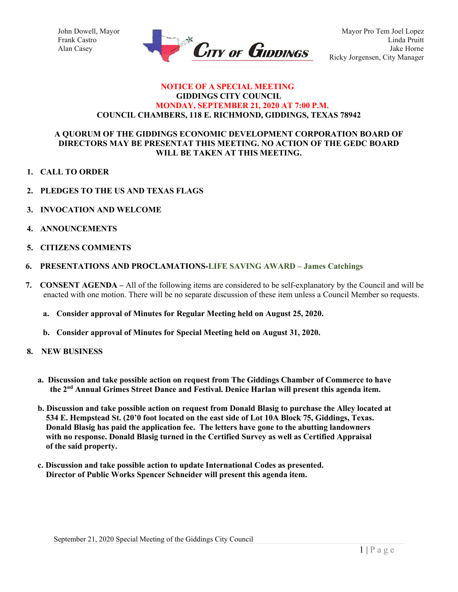

### **NOTICE OF A SPECIAL MEETING GIDDINGS CITY COUNCIL MONDAY, SEPTEMBER 21, 2020 AT 7:00 P.M. COUNCIL CHAMBERS, 118 E. RICHMOND, GIDDINGS, TEXAS 78942**

# **A QUORUM OF THE GIDDINGS ECONOMIC DEVELOPMENT CORPORATION BOARD OF DIRECTORS MAY BE PRESENTAT THIS MEETING. NO ACTION OF THE GEDC BOARD WILL BE TAKEN AT THIS MEETING.**

- **1. CALL TO ORDER**
- **2. PLEDGES TO THE US AND TEXAS FLAGS**
- **3. INVOCATION AND WELCOME**
- **4. ANNOUNCEMENTS**
- **5. CITIZENS COMMENTS**
- **6. PRESENTATIONS AND PROCLAMATIONS-LIFE SAVING AWARD – James Catchings**
- **7. CONSENT AGENDA –** All of the following items are considered to be self-explanatory by the Council and will be enacted with one motion. There will be no separate discussion of these item unless a Council Member so requests.
	- **a. Consider approval of Minutes for Regular Meeting held on August 25, 2020.**
	- **b. Consider approval of Minutes for Special Meeting held on August 31, 2020.**
- **8. NEW BUSINESS**
	- **a. Discussion and take possible action on request from The Giddings Chamber of Commerce to have the 2nd Annual Grimes Street Dance and Festival. Denice Harlan will present this agenda item.**
	- **b. Discussion and take possible action on request from Donald Blasig to purchase the Alley located at 534 E. Hempstead St. (20'0 foot located on the east side of Lot 10A Block 75, Giddings, Texas. Donald Blasig has paid the application fee. The letters have gone to the abutting landowners with no response. Donald Blasig turned in the Certified Survey as well as Certified Appraisal of the said property.**
	- **c. Discussion and take possible action to update International Codes as presented. Director of Public Works Spencer Schneider will present this agenda item.**